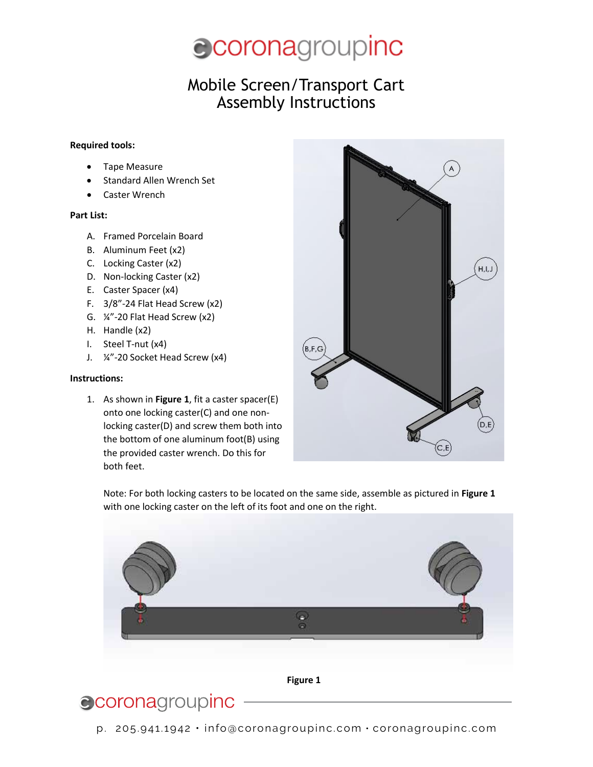

### Mobile Screen/Transport Cart **Mobile Screen** Assembly Instructions **Assembly Instructions**

#### **Required tools:**

- Tape Measure
- Standard Allen Wrench Set
- Caster Wrench

#### **Part List:**

- A. Framed Porcelain Board
- B. Aluminum Feet (x2)
- C. Locking Caster (x2)
- D. Non-locking Caster (x2)
- E. Caster Spacer (x4)
- F. 3/8"-24 Flat Head Screw (x2)
- G. ¼"-20 Flat Head Screw (x2)
- H. Handle (x2)
- I. Steel T-nut (x4)
- J. ¼"-20 Socket Head Screw (x4)

### **Instructions:**

1. As shown in **Figure 1**, fit a caster spacer(E) onto one locking caster(C) and one nonlocking caster(D) and screw them both into the bottom of one aluminum foot(B) using the provided caster wrench. Do this for both feet.



Note: For both locking casters to be located on the same side, assemble as pictured in **Figure 1** with one locking caster on the left of its foot and one on the right.



**Figure 1**

# ccoronagroupinc

p. 205.941.1942 • info@coronagroupinc.com • coronagroupinc.com